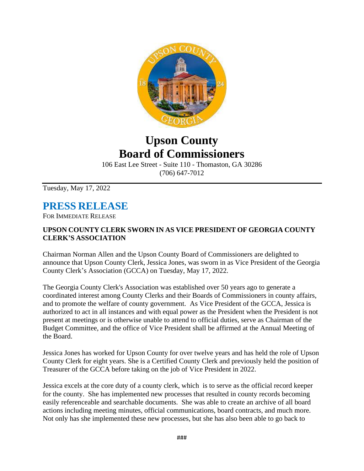

## **Upson County Board of Commissioners**

106 East Lee Street - Suite 110 - Thomaston, GA 30286 (706) 647-7012

Tuesday, May 17, 2022

## **PRESS RELEASE**

FOR IMMEDIATE RELEASE

## **UPSON COUNTY CLERK SWORN IN AS VICE PRESIDENT OF GEORGIA COUNTY CLERK'S ASSOCIATION**

Chairman Norman Allen and the Upson County Board of Commissioners are delighted to announce that Upson County Clerk, Jessica Jones, was sworn in as Vice President of the Georgia County Clerk's Association (GCCA) on Tuesday, May 17, 2022.

The Georgia County Clerk's Association was established over 50 years ago to generate a coordinated interest among County Clerks and their Boards of Commissioners in county affairs, and to promote the welfare of county government. As Vice President of the GCCA, Jessica is authorized to act in all instances and with equal power as the President when the President is not present at meetings or is otherwise unable to attend to official duties, serve as Chairman of the Budget Committee, and the office of Vice President shall be affirmed at the Annual Meeting of the Board.

Jessica Jones has worked for Upson County for over twelve years and has held the role of Upson County Clerk for eight years. She is a Certified County Clerk and previously held the position of Treasurer of the GCCA before taking on the job of Vice President in 2022.

Jessica excels at the core duty of a county clerk, which is to serve as the official record keeper for the county. She has implemented new processes that resulted in county records becoming easily referenceable and searchable documents. She was able to create an archive of all board actions including meeting minutes, official communications, board contracts, and much more. Not only has she implemented these new processes, but she has also been able to go back to